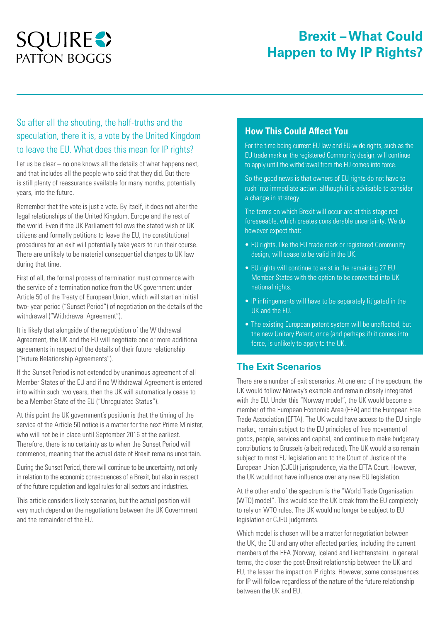# **SQUIRES PATTON BOGGS**

## **Brexit – What Could Happen to My IP Rights?**

### So after all the shouting, the half-truths and the speculation, there it is, a vote by the United Kingdom to leave the EU. What does this mean for IP rights?

Let us be clear – no one knows all the details of what happens next. and that includes all the people who said that they did. But there is still plenty of reassurance available for many months, potentially years, into the future.

Remember that the vote is just a vote. By itself, it does not alter the legal relationships of the United Kingdom, Europe and the rest of the world. Even if the UK Parliament follows the stated wish of UK citizens and formally petitions to leave the EU, the constitutional procedures for an exit will potentially take years to run their course. There are unlikely to be material consequential changes to UK law during that time.

First of all, the formal process of termination must commence with the service of a termination notice from the UK government under Article 50 of the Treaty of European Union, which will start an initial two- year period ("Sunset Period") of negotiation on the details of the withdrawal ("Withdrawal Agreement").

It is likely that alongside of the negotiation of the Withdrawal Agreement, the UK and the EU will negotiate one or more additional agreements in respect of the details of their future relationship ("Future Relationship Agreements").

If the Sunset Period is not extended by unanimous agreement of all Member States of the EU and if no Withdrawal Agreement is entered into within such two years, then the UK will automatically cease to be a Member State of the EU ("Unregulated Status").

At this point the UK government's position is that the timing of the service of the Article 50 notice is a matter for the next Prime Minister, who will not be in place until September 2016 at the earliest. Therefore, there is no certainty as to when the Sunset Period will commence, meaning that the actual date of Brexit remains uncertain.

During the Sunset Period, there will continue to be uncertainty, not only in relation to the economic consequences of a Brexit, but also in respect of the future regulation and legal rules for all sectors and industries.

This article considers likely scenarios, but the actual position will very much depend on the negotiations between the UK Government and the remainder of the EU.

#### **How This Could Affect You**

For the time being current EU law and EU-wide rights, such as the EU trade mark or the registered Community design, will continue to apply until the withdrawal from the EU comes into force.

So the good news is that owners of EU rights do not have to rush into immediate action, although it is advisable to consider a change in strategy.

The terms on which Brexit will occur are at this stage not foreseeable, which creates considerable uncertainty. We do however expect that:

- EU rights, like the EU trade mark or registered Community design, will cease to be valid in the UK.
- EU rights will continue to exist in the remaining 27 EU Member States with the option to be converted into UK national rights.
- IP infringements will have to be separately litigated in the UK and the EU.
- The existing European patent system will be unaffected, but the new Unitary Patent, once (and perhaps if) it comes into force, is unlikely to apply to the UK.

### **The Exit Scenarios**

There are a number of exit scenarios. At one end of the spectrum, the UK would follow Norway's example and remain closely integrated with the EU. Under this "Norway model", the UK would become a member of the European Economic Area (EEA) and the European Free Trade Association (EFTA). The UK would have access to the EU single market, remain subject to the EU principles of free movement of goods, people, services and capital, and continue to make budgetary contributions to Brussels (albeit reduced). The UK would also remain subject to most EU legislation and to the Court of Justice of the European Union (CJEU) jurisprudence, via the EFTA Court. However, the UK would not have influence over any new EU legislation.

At the other end of the spectrum is the "World Trade Organisation (WTO) model". This would see the UK break from the EU completely to rely on WTO rules. The UK would no longer be subject to EU legislation or CJEU judgments.

Which model is chosen will be a matter for negotiation between the UK, the EU and any other affected parties, including the current members of the EEA (Norway, Iceland and Liechtenstein). In general terms, the closer the post-Brexit relationship between the UK and EU, the lesser the impact on IP rights. However, some consequences for IP will follow regardless of the nature of the future relationship between the UK and EU.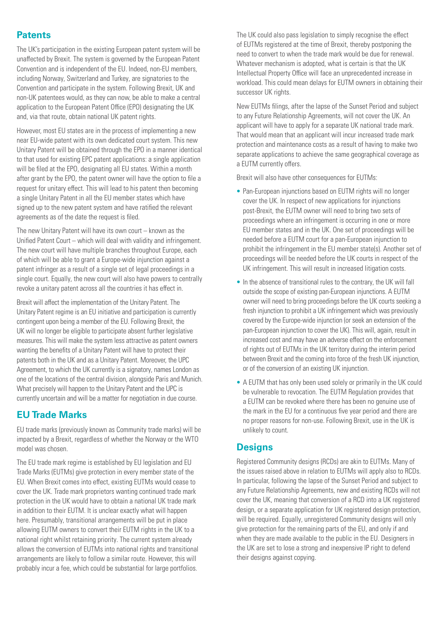### **Patents**

The UK's participation in the existing European patent system will be unaffected by Brexit. The system is governed by the [European Patent](http://????)  [Convention](http://????) and is independent of the EU. Indeed, non-EU members, including Norway, Switzerland and Turkey, are signatories to the Convention and participate in the system. Following Brexit, UK and non-UK patentees would, as they can now, be able to make a central application to the European Patent Office (EPO) designating the UK and, via that route, obtain national UK patent rights.

However, most EU states are in the process of implementing a new near EU-wide patent with its own dedicated court system. This new Unitary Patent will be obtained through the EPO in a manner identical to that used for existing EPC patent applications: a single application will be filed at the EPO, designating all EU states. Within a month after grant by the EPO, the patent owner will have the option to file a request for unitary effect. This will lead to his patent then becoming a single Unitary Patent in all the EU member states which have signed up to the new patent system and have ratified the relevant agreements as of the date the request is filed.

The new Unitary Patent will have its own court – known as the Unified Patent Court – which will deal with validity and infringement. The new court will have multiple branches throughout Europe, each of which will be able to grant a Europe-wide injunction against a patent infringer as a result of a single set of legal proceedings in a single court. Equally, the new court will also have powers to centrally revoke a unitary patent across all the countries it has effect in.

Brexit will affect the implementation of the Unitary Patent. The Unitary Patent regime is an EU initiative and participation is currently contingent upon being a member of the EU. Following Brexit, the UK will no longer be eligible to participate absent further legislative measures. This will make the system less attractive as patent owners wanting the benefits of a Unitary Patent will have to protect their patents both in the UK and as a Unitary Patent. Moreover, the UPC Agreement, to which the UK currently is a signatory, names London as one of the locations of the central division, alongside Paris and Munich. What precisely will happen to the Unitary Patent and the UPC is currently uncertain and will be a matter for negotiation in due course.

### **EU Trade Marks**

EU trade marks (previously known as Community trade marks) will be impacted by a Brexit, regardless of whether the Norway or the WTO model was chosen.

The EU trade mark regime is established by [EU legislation](http://????) and EU Trade Marks (EUTMs) give protection in every member state of the EU. When Brexit comes into effect, existing EUTMs would cease to cover the UK. Trade mark proprietors wanting continued trade mark protection in the UK would have to obtain a national UK trade mark in addition to their EUTM. It is unclear exactly what will happen here. Presumably, transitional arrangements will be put in place allowing EUTM owners to convert their EUTM rights in the UK to a national right whilst retaining priority. The current system already allows the conversion of EUTMs into national rights and transitional arrangements are likely to follow a similar route. However, this will probably incur a fee, which could be substantial for large portfolios.

The UK could also pass legislation to simply recognise the effect of EUTMs registered at the time of Brexit, thereby postponing the need to convert to when the trade mark would be due for renewal. Whatever mechanism is adopted, what is certain is that the UK Intellectual Property Office will face an unprecedented increase in workload. This could mean delays for EUTM owners in obtaining their successor UK rights.

New EUTMs filings, after the lapse of the Sunset Period and subject to any Future Relationship Agreements, will not cover the UK. An applicant will have to apply for a separate UK national trade mark. That would mean that an applicant will incur increased trade mark protection and maintenance costs as a result of having to make two separate applications to achieve the same geographical coverage as a EUTM currently offers.

Brexit will also have other consequences for EUTMs:

- Pan-European injunctions based on EUTM rights will no longer cover the UK. In respect of new applications for injunctions post-Brexit, the EUTM owner will need to bring two sets of proceedings where an infringement is occurring in one or more EU member states and in the UK. One set of proceedings will be needed before a EUTM court for a pan-European injunction to prohibit the infringement in the EU member state(s). Another set of proceedings will be needed before the UK courts in respect of the UK infringement. This will result in increased litigation costs.
- In the absence of transitional rules to the contrary, the UK will fall outside the scope of existing pan-European injunctions. A EUTM owner will need to bring proceedings before the UK courts seeking a fresh injunction to prohibit a UK infringement which was previously covered by the Europe-wide injunction (or seek an extension of the pan-European injunction to cover the UK). This will, again, result in increased cost and may have an adverse effect on the enforcement of rights out of EUTMs in the UK territory during the interim period between Brexit and the coming into force of the fresh UK injunction, or of the conversion of an existing UK injunction.
- A EUTM that has only been used solely or primarily in the UK could be vulnerable to revocation. The EUTM Regulation provides that a EUTM can be revoked where there has been no genuine use of the mark in the EU for a continuous five year period and there are no proper reasons for non-use. Following Brexit, use in the UK is unlikely to count.

### **Designs**

Registered Community designs (RCDs) are akin to EUTMs. Many of the issues raised above in relation to EUTMs will apply also to RCDs. In particular, following the lapse of the Sunset Period and subject to any Future Relationship Agreements, new and existing RCDs will not cover the UK, meaning that conversion of a RCD into a UK registered design, or a separate application for UK registered design protection, will be required. Equally, unregistered Community designs will only give protection for the remaining parts of the EU, and only if and when they are made available to the public in the EU. Designers in the UK are set to lose a strong and inexpensive IP right to defend their designs against copying.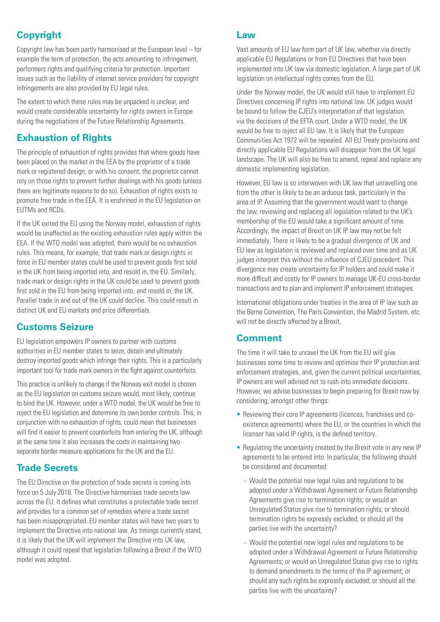### **Copyright**

Copyright law has been partly harmonised at the European level – for example the term of protection, the acts amounting to infringement, performers rights and qualifying criteria for protection. Important issues such as the liability of internet service providers for copyright infringements are also provided by EU legal rules.

The extent to which these rules may be unpacked is unclear, and would create considerable uncertainty for rights owners in Europe during the negotiations of the Future Relationship Agreements.

### **Exhaustion of Rights**

The principle of exhaustion of rights provides that where goods have been placed on the market in the EEA by the proprietor of a trade mark or registered design, or with his consent, the proprietor cannot rely on those rights to prevent further dealings with his goods (unless there are legitimate reasons to do so). Exhaustion of rights exists to promote free trade in the EEA. It is enshrined in the EU legislation on EUTMs and RCDs.

If the UK exited the EU using the Norway model, exhaustion of rights would be unaffected as the existing exhaustion rules apply within the EEA. If the WTO model was adopted, there would be no exhaustion rules. This means, for example, that trade mark or design rights in force in EU member states could be used to prevent goods first sold in the UK from being imported into, and resold in, the EU. Similarly, trade mark or design rights in the UK could be used to prevent goods first sold in the EU from being imported into, and resold in, the UK. Parallel trade in and out of the UK could decline. This could result in distinct UK and EU markets and price differentials.

### **Customs Seizure**

[EU legislation](http://????) empowers IP owners to partner with customs authorities in EU member states to seize, detain and ultimately destroy imported goods which infringe their rights. This is a particularly important tool for trade mark owners in the fight against counterfeits.

This practice is unlikely to change if the Norway exit model is chosen as the EU legislation on customs seizure would, most likely, continue to bind the UK. However, under a WTO model, the UK would be free to reject the EU legislation and determine its own border controls. This, in conjunction with no exhaustion of rights, could mean that businesses will find it easier to prevent counterfeits from entering the UK, although at the same time it also increases the costs in maintaining two separate border measure applications for the UK and the EU.

### **Trade Secrets**

The [EU Directive](http://????) on the protection of trade secrets is coming into force on 5 July 2016. The Directive harmonises trade secrets law across the EU. It defines what constitutes a protectable trade secret and provides for a common set of remedies where a trade secret has been misappropriated. EU member states will have two years to implement the Directive into national law. As timings currently stand, it is likely that the UK will implement the Directive into UK law, although it could repeal that legislation following a Brexit if the WTO model was adopted.

#### **Law**

Vast amounts of EU law form part of UK law, whether via directly applicable EU Regulations or from EU Directives that have been implemented into UK law via domestic legislation. A large part of UK legislation on intellectual rights comes from the EU.

Under the Norway model, the UK would still have to implement EU Directives concerning IP rights into national law. UK judges would be bound to follow the CJEU's interpretation of that legislation, via the decisions of the EFTA court. Under a WTO model, the UK would be free to reject all EU law. It is likely that the [European](http://????)  [Communities Act 1972](http://????) will be repealed. All EU Treaty provisions and directly applicable EU Regulations will disappear from the UK legal landscape. The UK will also be free to amend, repeal and replace any domestic implementing legislation.

However, EU law is so interwoven with UK law that unravelling one from the other is likely to be an arduous task, particularly in the area of IP. Assuming that the government would want to change the law, reviewing and replacing all legislation related to the UK's membership of the EU would take a significant amount of time. Accordingly, the impact of Brexit on UK IP law may not be felt immediately. There is likely to be a gradual divergence of UK and EU law as legislation is reviewed and replaced over time and as UK judges interpret this without the influence of CJEU precedent. This divergence may create uncertainty for IP holders and could make it more difficult and costly for IP owners to manage UK-EU cross-border transactions and to plan and implement IP enforcement strategies.

International obligations under treaties in the area of IP law such as the [Berne Convention, The Paris Convention, the Madrid System, etc.](http://????) will not be directly affected by a Brexit.

### **Comment**

The time it will take to unravel the UK from the EU will give businesses some time to review and optimise their IP protection and enforcement strategies, and, given the current political uncertainties, IP owners are well advised not to rush into immediate decisions. However, we advise businesses to begin preparing for Brexit now by considering, amongst other things:

- Reviewing their core IP agreements (licences, franchises and coexistence agreements) where the EU, or the countries in which the licensor has valid IP rights, is the defined territory.
- Regulating the uncertainty created by the Brexit vote in any new IP agreements to be entered into. In particular, the following should be considered and documented:
	- Would the potential new legal rules and regulations to be adopted under a Withdrawal Agreement or Future Relationship Agreements give rise to termination rights; or would an Unregulated Status give rise to termination rights; or should termination rights be expressly excluded; or should all the parties live with the uncertainty?
	- Would the potential new legal rules and regulations to be adopted under a Withdrawal Agreement or Future Relationship Agreements; or would an Unregulated Status give rise to rights to demand amendments to the terms of the IP agreement; or should any such rights be expressly excluded; or should all the parties live with the uncertainty?